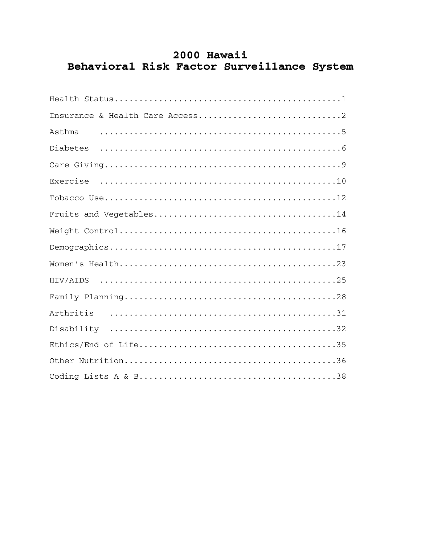# 2000 Hawaii Behavioral Risk Factor Surveillance System

| Asthma |
|--------|
|        |
|        |
|        |
|        |
|        |
|        |
|        |
|        |
|        |
|        |
|        |
|        |
|        |
|        |
|        |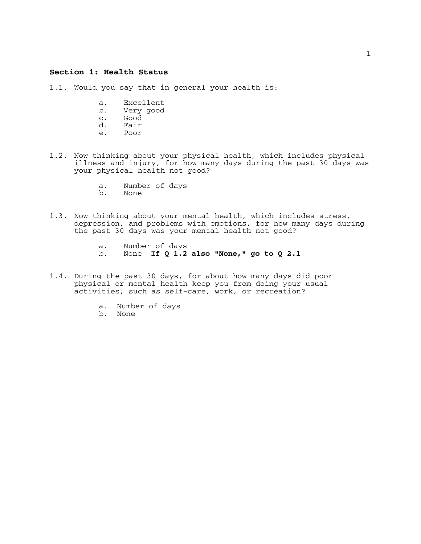## **Section 1: Health Status**

1.1. Would you say that in general your health is:

- a. Excellent
- b. Very good
- c. Good<br>d. Fair
- d. Fair
- Poor
- 1.2. Now thinking about your physical health, which includes physical illness and injury, for how many days during the past 30 days was your physical health not good?
	- a. Number of days
	- b. None
- 1.3. Now thinking about your mental health, which includes stress, depression, and problems with emotions, for how many days during the past 30 days was your mental health not good?
	- a. Number of days b. None **If Q 1.2 also "None," go to Q 2.1**
- 1.4. During the past 30 days, for about how many days did poor physical or mental health keep you from doing your usual activities, such as self-care, work, or recreation?
	- a. Number of days
	- b. None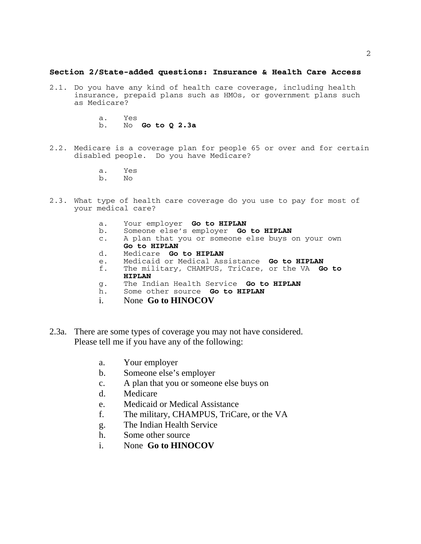## **Section 2/State-added questions: Insurance & Health Care Access**

- 2.1. Do you have any kind of health care coverage, including health insurance, prepaid plans such as HMOs, or government plans such as Medicare?
	- a. Yes b. No **Go to Q 2.3a**
- 2.2. Medicare is a coverage plan for people 65 or over and for certain disabled people. Do you have Medicare?
	- a. Yes
	- b. No
- 2.3. What type of health care coverage do you use to pay for most of your medical care?
	-
	- a. Your employer **Go to HIPLAN** b. Someone else's employer **Go to HIPLAN**
	- c. A plan that you or someone else buys on your own **Go to HIPLAN**
	- d. Medicare **Go to HIPLAN**
	- e. Medicaid or Medical Assistance **Go to HIPLAN**
	- The military, CHAMPUS, TriCare, or the VA Go to **HIPLAN**
	- g. The Indian Health Service **Go to HIPLAN**
	- h. Some other source **Go to HIPLAN**
	- i. None **Go to HINOCOV**
- 2.3a. There are some types of coverage you may not have considered. Please tell me if you have any of the following:
	- a. Your employer
	- b. Someone else's employer
	- c. A plan that you or someone else buys on
	- d. Medicare
	- e. Medicaid or Medical Assistance
	- f. The military, CHAMPUS, TriCare, or the VA
	- g. The Indian Health Service
	- h. Some other source
	- i. None **Go to HINOCOV**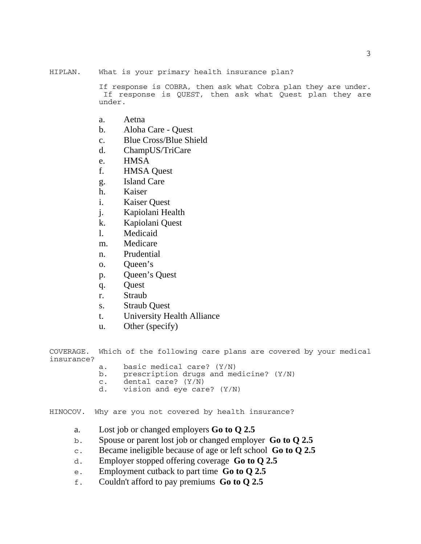HIPLAN. What is your primary health insurance plan?

If response is COBRA, then ask what Cobra plan they are under. If response is QUEST, then ask what Quest plan they are under.

- a. Aetna
- b. Aloha Care Quest
- c. Blue Cross/Blue Shield
- d. ChampUS/TriCare
- e. HMSA
- f. HMSA Quest
- g. Island Care
- h. Kaiser
- i. Kaiser Quest
- j. Kapiolani Health
- k. Kapiolani Quest
- l. Medicaid
- m. Medicare
- n. Prudential
- o. Queen's
- p. Queen's Quest
- q. Quest
- r. Straub
- s. Straub Quest
- t. University Health Alliance
- u. Other (specify)

COVERAGE. Which of the following care plans are covered by your medical insurance?

- a. basic medical care? (Y/N)<br>b. prescription drugs and me
- prescription drugs and medicine? (Y/N)
- c. dental care? (Y/N)<br>d. vision and eve car
- vision and eye care?  $(Y/N)$

HINOCOV. Why are you not covered by health insurance?

- a. Lost job or changed employers **Go to Q 2.5**
- b. Spouse or parent lost job or changed employer **Go to Q 2.5**
- c. Became ineligible because of age or left school **Go to Q 2.5**
- d. Employer stopped offering coverage **Go to Q 2.5**
- e. Employment cutback to part time **Go to Q 2.5**
- f. Couldn't afford to pay premiums **Go to Q 2.5**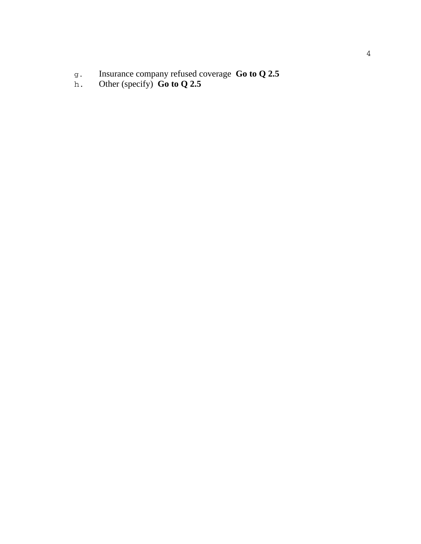- g. Insurance company refused coverage **Go to Q 2.5**
- h. Other (specify) **Go to Q 2.5**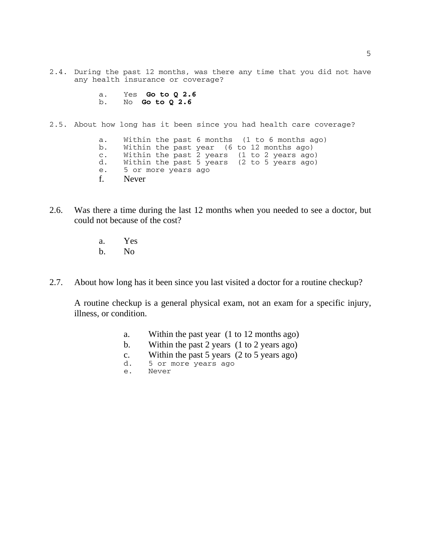2.4. During the past 12 months, was there any time that you did not have any health insurance or coverage?

```
a. Yes Go to Q 2.6
b. No Go to Q 2.6
```
2.5. About how long has it been since you had health care coverage?

a. Within the past 6 months (1 to 6 months ago)<br>b. Within the past vear (6 to 12 months ago) b. Within the past year (6 to 12 months ago)<br>c. Within the past 2 years (1 to 2 years ago c. Within the past 2 years (1 to 2 years ago) d. Within the past 5 years (2 to 5 years ago) e. 5 or more years ago f. Never

- 2.6. Was there a time during the last 12 months when you needed to see a doctor, but could not because of the cost?
	- a. Yes
	- b. No
- 2.7. About how long has it been since you last visited a doctor for a routine checkup?

A routine checkup is a general physical exam, not an exam for a specific injury, illness, or condition.

- a. Within the past year (1 to 12 months ago)
- b. Within the past 2 years (1 to 2 years ago)
- c. Within the past 5 years (2 to 5 years ago)
- d. 5 or more years ago
- e. Never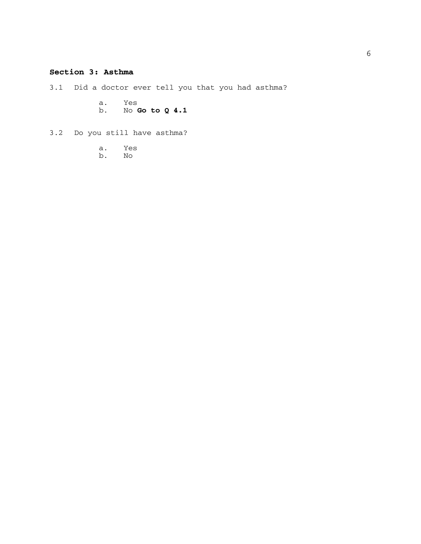# **Section 3: Asthma**

3.1 Did a doctor ever tell you that you had asthma?

- a. Yes
- b. No **Go to Q 4.1**
- 3.2 Do you still have asthma?
	- a. Yes
	- b. No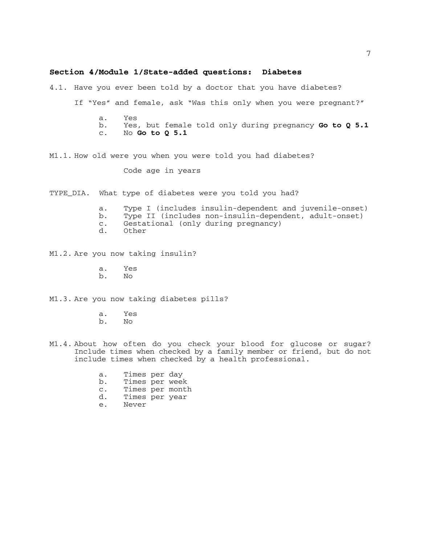#### **Section 4/Module 1/State-added questions: Diabetes**

4.1. Have you ever been told by a doctor that you have diabetes?

If "Yes" and female, ask "Was this only when you were pregnant?"

- a. Yes b. Yes, but female told only during pregnancy **Go to Q 5.1**
- c. No **Go to Q 5.1**
- M1.1. How old were you when you were told you had diabetes?

Code age in years

TYPE\_DIA. What type of diabetes were you told you had?

- a. Type I (includes insulin-dependent and juvenile-onset)
- b. Type II (includes non-insulin-dependent, adult-onset)
- c. Gestational (only during pregnancy)
- **Other**

M1.2. Are you now taking insulin?

- a. Yes
- b. No

M1.3. Are you now taking diabetes pills?

- a. Yes
- b. No
- M1.4. About how often do you check your blood for glucose or sugar? Include times when checked by a family member or friend, but do not include times when checked by a health professional.
	- a. Times per day b. Times per week
	- c. Times per month
	- d. Times per year
- 
- 
- e. Never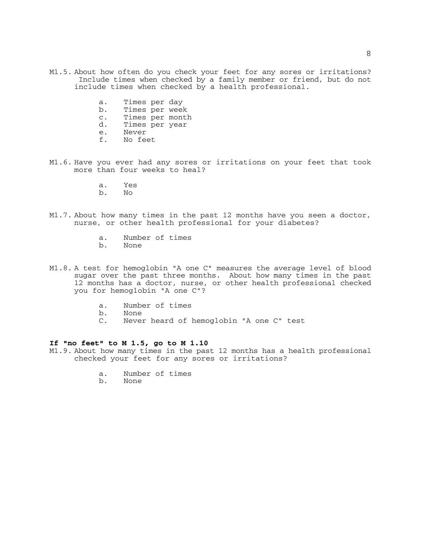- M1.5. About how often do you check your feet for any sores or irritations? Include times when checked by a family member or friend, but do not include times when checked by a health professional.
	- a. Times per day<br>b. Times per weel
	- Times per week
	- c. Times per month<br>d. Times per year
	- d. Times per year<br>e. Never
	- e. Never<br>f. No fee
	- No feet
- M1.6. Have you ever had any sores or irritations on your feet that took more than four weeks to heal?
	- a. Yes
	- b. No
- M1.7. About how many times in the past 12 months have you seen a doctor, nurse, or other health professional for your diabetes?
	- a. Number of times<br>b. None
	- b. None
- M1.8. A test for hemoglobin "A one C" measures the average level of blood sugar over the past three months. About how many times in the past 12 months has a doctor, nurse, or other health professional checked you for hemoglobin "A one C"?
	- a. Number of times
	- b. None<br>C. Nevel
	- Never heard of hemoglobin "A one C" test

## **If "no feet" to M 1.5, go to M 1.10**

- M1.9. About how many times in the past 12 months has a health professional checked your feet for any sores or irritations?
	- a. Number of times
	- b. None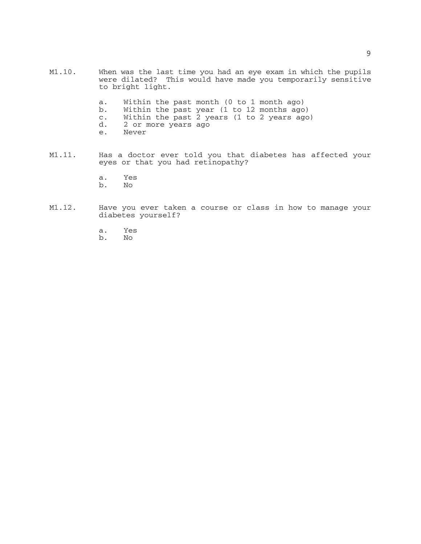- M1.10. When was the last time you had an eye exam in which the pupils were dilated? This would have made you temporarily sensitive to bright light.
	- a. Within the past month (0 to 1 month ago)<br>b. Within the past year (1 to 12 months ago
	- Within the past year  $(1$  to 12 months ago)
	- c. Within the past 2 years (1 to 2 years ago)
	- d. 2 or more years ago<br>e. Never
	- Never
- M1.11. Has a doctor ever told you that diabetes has affected your eyes or that you had retinopathy?
	- a. Yes b. No
	-
- M1.12. Have you ever taken a course or class in how to manage your diabetes yourself?
	- a. Yes
	- b. No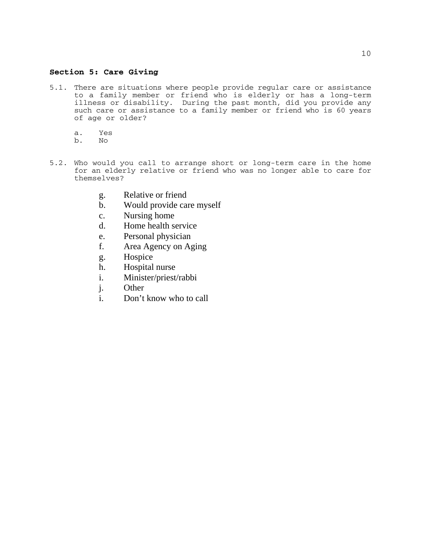## **Section 5: Care Giving**

- 5.1. There are situations where people provide regular care or assistance to a family member or friend who is elderly or has a long-term illness or disability. During the past month, did you provide any such care or assistance to a family member or friend who is 60 years of age or older?
	- a. Yes
	- b. No
- 5.2. Who would you call to arrange short or long-term care in the home for an elderly relative or friend who was no longer able to care for themselves?
	- g. Relative or friend
	- b. Would provide care myself
	- c. Nursing home
	- d. Home health service
	- e. Personal physician
	- f. Area Agency on Aging
	- g. Hospice
	- h. Hospital nurse
	- i. Minister/priest/rabbi
	- j. Other
	- i. Don't know who to call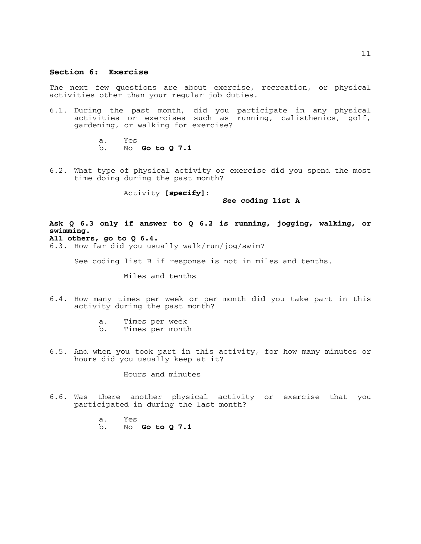#### **Section 6: Exercise**

The next few questions are about exercise, recreation, or physical activities other than your regular job duties.

- 6.1. During the past month, did you participate in any physical activities or exercises such as running, calisthenics, golf, gardening, or walking for exercise?
	- a. Yes b. No **Go to Q 7.1**
- 6.2. What type of physical activity or exercise did you spend the most time doing during the past month?

Activity **[specify]**:

**See coding list A**

# **Ask Q 6.3 only if answer to Q 6.2 is running, jogging, walking, or swimming.**

# **All others, go to Q 6.4.**

6.3. How far did you usually walk/run/jog/swim?

See coding list B if response is not in miles and tenths.

Miles and tenths

- 6.4. How many times per week or per month did you take part in this activity during the past month?
	- a. Times per week<br>b. Times per month
	- Times per month
- 6.5. And when you took part in this activity, for how many minutes or hours did you usually keep at it?

Hours and minutes

- 6.6. Was there another physical activity or exercise that you participated in during the last month?
	- a. Yes
	- b. No **Go to Q 7.1**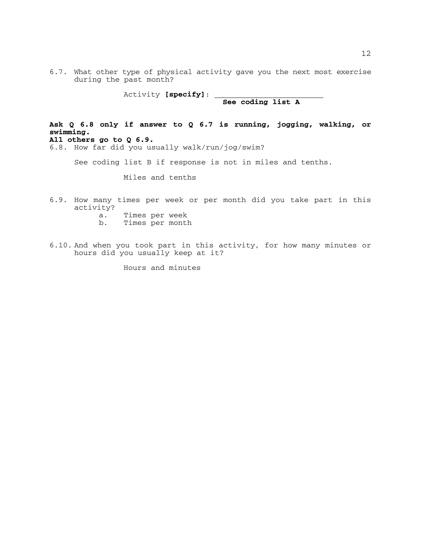6.7. What other type of physical activity gave you the next most exercise during the past month?

Activity **[specify]**: **See coding list A**

**Ask Q 6.8 only if answer to Q 6.7 is running, jogging, walking, or swimming. All others go to Q 6.9.**

6.8. How far did you usually walk/run/jog/swim?

See coding list B if response is not in miles and tenths.

Miles and tenths

- 6.9. How many times per week or per month did you take part in this activity?
	- a. Times per week
	- b. Times per month
- 6.10. And when you took part in this activity, for how many minutes or hours did you usually keep at it?

Hours and minutes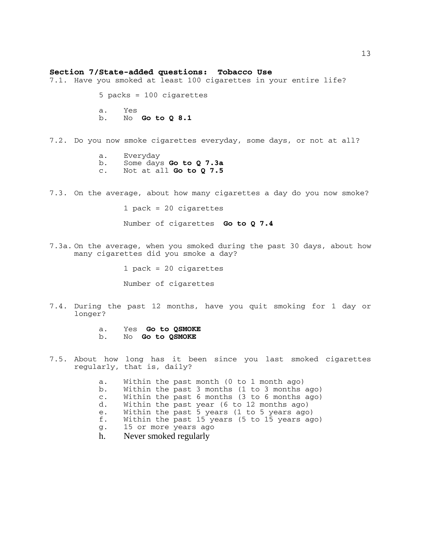#### **Section 7/State-added questions: Tobacco Use**

7.1. Have you smoked at least 100 cigarettes in your entire life?

5 packs = 100 cigarettes a. Yes b. No **Go to Q 8.1** 

7.2. Do you now smoke cigarettes everyday, some days, or not at all?

- a. Everyday<br>b. Some days **Go to Q 7.3a** b. Some days **Go to Q 7.3a** c. Not at all **Go to Q 7.5**
- 7.3. On the average, about how many cigarettes a day do you now smoke?

1 pack = 20 cigarettes

Number of cigarettes **Go to Q 7.4**

7.3a. On the average, when you smoked during the past 30 days, about how many cigarettes did you smoke a day?

1 pack = 20 cigarettes

Number of cigarettes

7.4. During the past 12 months, have you quit smoking for 1 day or longer?

a. Yes **Go to QSMOKE** b. No **Go to QSMOKE**

- 7.5. About how long has it been since you last smoked cigarettes regularly, that is, daily?
	- a. Within the past month (0 to 1 month ago) b. Within the past 3 months (1 to 3 months ago) c. Within the past 6 months (3 to 6 months ago) d. Within the past year (6 to 12 months ago) e. Within the past 5 years (1 to 5 years ago) f. Within the past 15 years (5 to 15 years ago) g. 15 or more years ago h. Never smoked regularly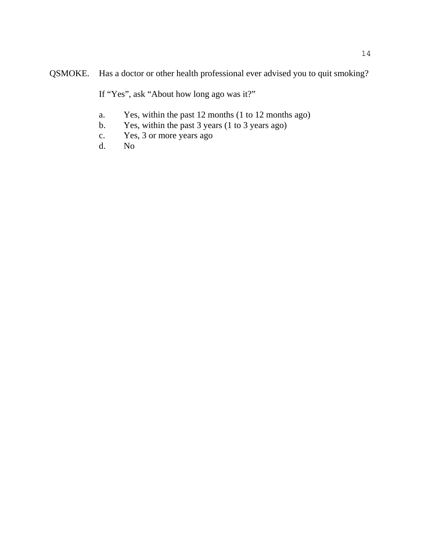QSMOKE. Has a doctor or other health professional ever advised you to quit smoking?

If "Yes", ask "About how long ago was it?"

- a. Yes, within the past 12 months (1 to 12 months ago)
- b. Yes, within the past 3 years (1 to 3 years ago)
- c. Yes, 3 or more years ago
- d. No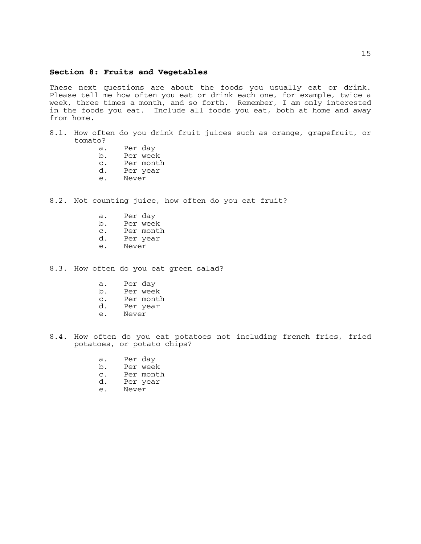#### **Section 8: Fruits and Vegetables**

These next questions are about the foods you usually eat or drink. Please tell me how often you eat or drink each one, for example, twice a week, three times a month, and so forth. Remember, I am only interested in the foods you eat. Include all foods you eat, both at home and away from home.

- 8.1. How often do you drink fruit juices such as orange, grapefruit, or tomato?
	- a. Per day
	- b. Per week
	- c. Per month
	- d. Per year
	- Never
- 8.2. Not counting juice, how often do you eat fruit?
	- a. Per day
	- b. Per week
	- c. Per month<br>d. Per year
	- Per year
	- e. Never
- 8.3. How often do you eat green salad?
	- a. Per day
	- b. Per week
	- c. Per month<br>d. Per year
	- Per year
	- e. Never
- 8.4. How often do you eat potatoes not including french fries, fried potatoes, or potato chips?
	- a. Per day
	- b. Per week<br>c. Per mont
	- c. Per month<br>d. Per vear
	- Per year
	- e. Never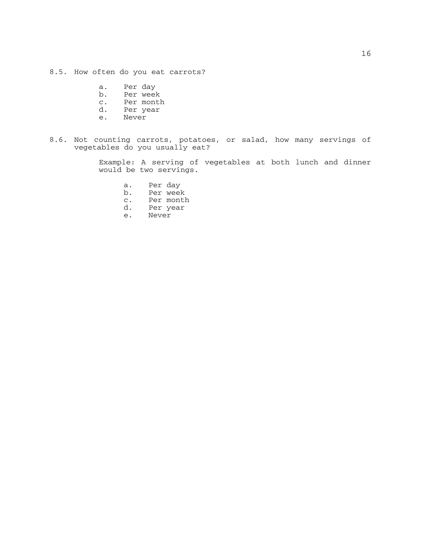8.5. How often do you eat carrots?

- a. Per day
- b. Per week
- c. Per month
- d. Per year
- e. Never
- 8.6. Not counting carrots, potatoes, or salad, how many servings of vegetables do you usually eat?

Example: A serving of vegetables at both lunch and dinner would be two servings.

- a. Per day
- 
- b. Per week<br>c. Per montl c. Per month<br>d. Per year
- d. Per year
- Never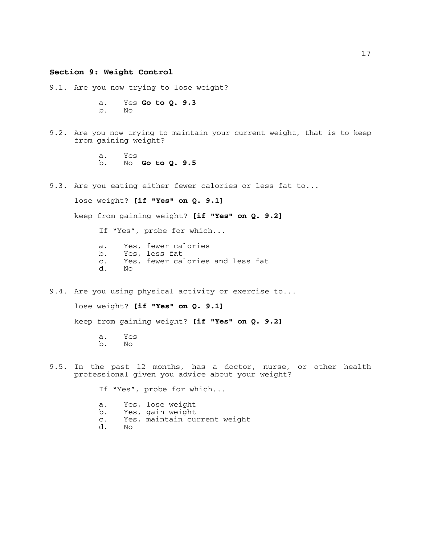## **Section 9: Weight Control**

9.1. Are you now trying to lose weight?

a. Yes **Go to Q. 9.3** b. No

9.2. Are you now trying to maintain your current weight, that is to keep from gaining weight?

> a. Yes b. No **Go to Q. 9.5**

9.3. Are you eating either fewer calories or less fat to...

lose weight? **[if "Yes" on Q. 9.1]**

keep from gaining weight? **[if "Yes" on Q. 9.2]**

If "Yes", probe for which...

- a. Yes, fewer calories
- b. Yes, less fat
- c. Yes, fewer calories and less fat
- d. No
- 9.4. Are you using physical activity or exercise to...

lose weight? **[if "Yes" on Q. 9.1]**

keep from gaining weight? **[if "Yes" on Q. 9.2]**

a. Yes b. No

9.5. In the past 12 months, has a doctor, nurse, or other health professional given you advice about your weight?

If "Yes", probe for which...

- a. Yes, lose weight<br>b. Yes, gain weight
- Yes, gain weight
- c. Yes, maintain current weight
- d. No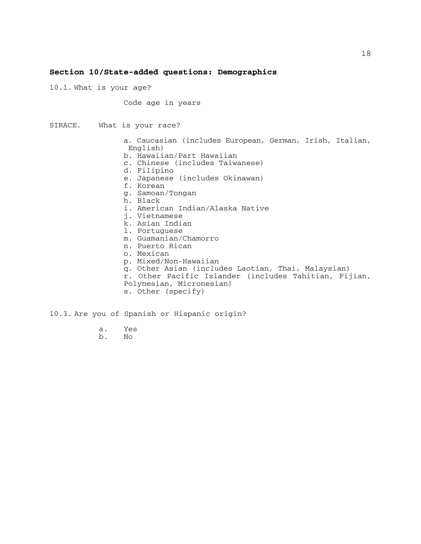#### **Section 10/State-added questions: Demographics**

10.1. What is your age?

Code age in years

SIRACE. What is your race? a. Caucasian (includes European, German, Irish, Italian, English) b. Hawaiian/Part Hawaiian c. Chinese (includes Taiwanese) d. Filipino e. Japanese (includes Okinawan) f. Korean g. Samoan/Tongan h. Black i. American Indian/Alaska Native j. Vietnamese k. Asian Indian l. Portuguese m. Guamanian/Chamorro n. Puerto Rican o. Mexican p. Mixed/Non-Hawaiian q. Other Asian (includes Laotian, Thai, Malaysian) r. Other Pacific Islander (includes Tahitian, Fijian, Polynesian, Micronesian) s. Other (specify)

10.3. Are you of Spanish or Hispanic origin?

- a. Yes
- b. No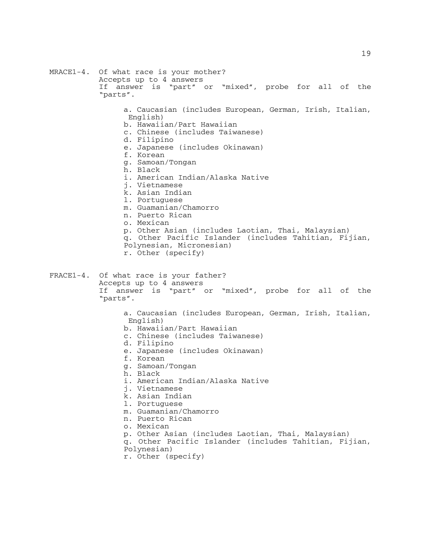MRACE1-4. Of what race is your mother? Accepts up to 4 answers If answer is "part" or "mixed", probe for all of the "parts". a. Caucasian (includes European, German, Irish, Italian, English) b. Hawaiian/Part Hawaiian c. Chinese (includes Taiwanese) d. Filipino e. Japanese (includes Okinawan) f. Korean g. Samoan/Tongan h. Black i. American Indian/Alaska Native j. Vietnamese k. Asian Indian l. Portuguese m. Guamanian/Chamorro n. Puerto Rican o. Mexican p. Other Asian (includes Laotian, Thai, Malaysian) q. Other Pacific Islander (includes Tahitian, Fijian, Polynesian, Micronesian) r. Other (specify) FRACE1-4. Of what race is your father? Accepts up to 4 answers If answer is "part" or "mixed", probe for all of the "parts". a. Caucasian (includes European, German, Irish, Italian, English) b. Hawaiian/Part Hawaiian c. Chinese (includes Taiwanese) d. Filipino e. Japanese (includes Okinawan) f. Korean g. Samoan/Tongan h. Black i. American Indian/Alaska Native j. Vietnamese k. Asian Indian l. Portuguese m. Guamanian/Chamorro n. Puerto Rican o. Mexican p. Other Asian (includes Laotian, Thai, Malaysian) q. Other Pacific Islander (includes Tahitian, Fijian, Polynesian) r. Other (specify)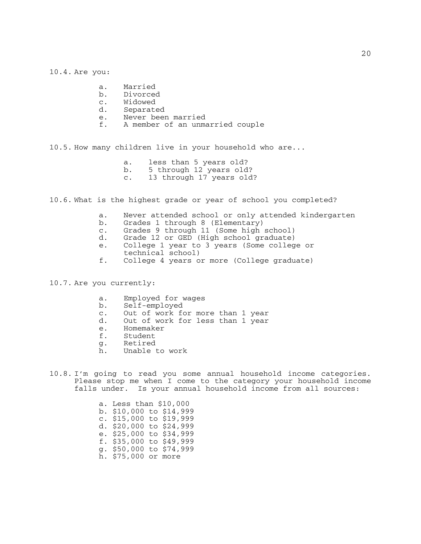- a. Married
- b. Divorced<br>c. Widowed
- c. Widowed<br>d Separate
- Separated
- e. Never been married<br>f. A member of an unma
- A member of an unmarried couple

10.5. How many children live in your household who are...

- a. less than 5 years old?
- b. 5 through 12 years old?<br>c. 13 through 17 years old
- 13 through 17 years old?

10.6. What is the highest grade or year of school you completed?

- a. Never attended school or only attended kindergarten
- b. Grades 1 through 8 (Elementary)
- c. Grades 9 through 11 (Some high school)
- Grade 12 or GED (High school graduate)
- e. College 1 year to 3 years (Some college or technical school)
- f. College 4 years or more (College graduate)

10.7. Are you currently:

- a. Employed for wages
- b. Self-employed
- c. Out of work for more than 1 year
- Out of work for less than 1 year
- e. Homemaker<br>f. Student
- Student
- g. Retired
- h. Unable to work
- 10.8. I'm going to read you some annual household income categories. Please stop me when I come to the category your household income falls under. Is your annual household income from all sources:

a. Less than \$10,000 b. \$10,000 to \$14,999 c. \$15,000 to \$19,999 d. \$20,000 to \$24,999 e. \$25,000 to \$34,999 f. \$35,000 to \$49,999 g. \$50,000 to \$74,999 h. \$75,000 or more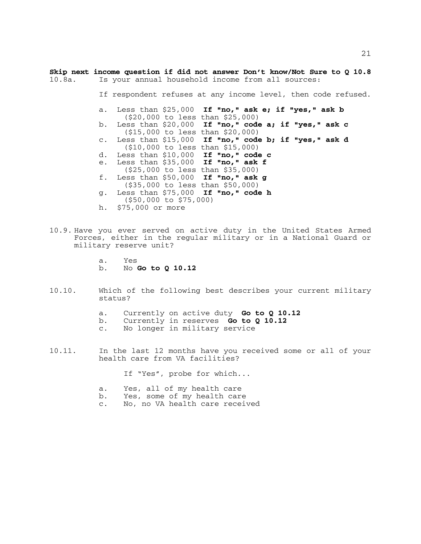**Skip next income question if did not answer Don't know/Not Sure to Q 10.8**<br>10.8a. Is your annual household income from all sources: Is your annual household income from all sources:

If respondent refuses at any income level, then code refused.

- a. Less than \$25,000 **If "no," ask e; if "yes," ask b** (\$20,000 to less than \$25,000)
- b. Less than \$20,000 **If "no," code a; if "yes," ask c** (\$15,000 to less than \$20,000)
- c. Less than \$15,000 **If "no," code b; if "yes," ask d** (\$10,000 to less than \$15,000)
- d. Less than \$10,000 **If "no," code c**
- e. Less than \$35,000 **If "no," ask f**
- (\$25,000 to less than \$35,000) f. Less than \$50,000 **If "no," ask g**
- (\$35,000 to less than \$50,000)
- g. Less than \$75,000 **If "no," code h** (\$50,000 to \$75,000)
- h. \$75,000 or more
- 10.9. Have you ever served on active duty in the United States Armed Forces, either in the regular military or in a National Guard or military reserve unit?
	- a. Yes
	- b. No **Go to Q 10.12**
- 10.10. Which of the following best describes your current military status?
	- a. Currently on active duty **Go to Q 10.12**
	- b. Currently in reserves **Go to Q 10.12** c. No longer in military service
	-
- 10.11. In the last 12 months have you received some or all of your health care from VA facilities?

If "Yes", probe for which...

- a. Yes, all of my health care
- b. Yes, some of my health care
- c. No, no VA health care received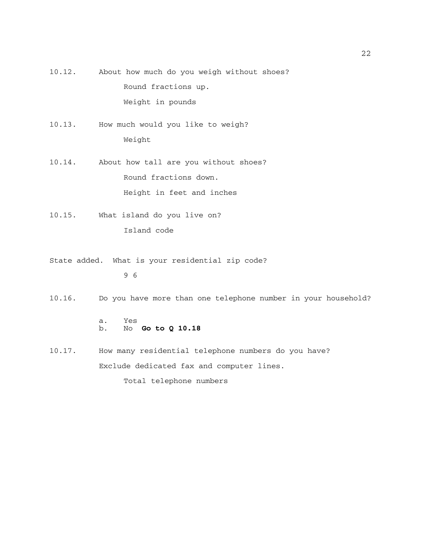- 10.12. About how much do you weigh without shoes? Round fractions up. Weight in pounds
- 10.13. How much would you like to weigh? Weight
- 10.14. About how tall are you without shoes? Round fractions down. Height in feet and inches
- 10.15. What island do you live on? Island code
- State added. What is your residential zip code?

9 6

10.16. Do you have more than one telephone number in your household?

- a. Yes b. No **Go to Q 10.18**
- 10.17. How many residential telephone numbers do you have? Exclude dedicated fax and computer lines.

Total telephone numbers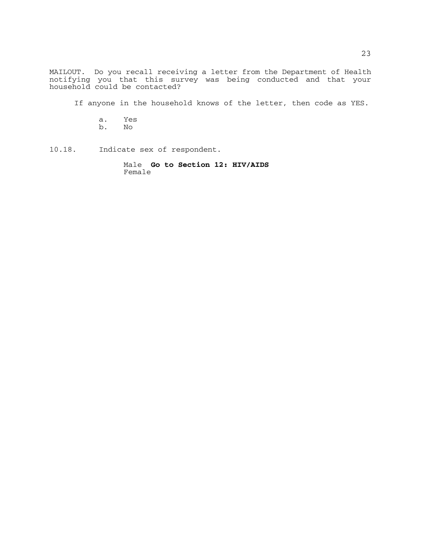MAILOUT. Do you recall receiving a letter from the Department of Health notifying you that this survey was being conducted and that your household could be contacted?

If anyone in the household knows of the letter, then code as YES.

- a. Yes b. No
- 10.18. Indicate sex of respondent.

Male **Go to Section 12: HIV/AIDS** Female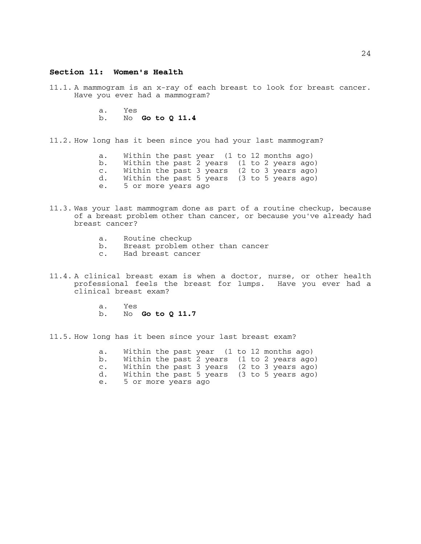#### **Section 11: Women's Health**

11.1. A mammogram is an x-ray of each breast to look for breast cancer. Have you ever had a mammogram?

> a. Yes b. No **Go to Q 11.4**

11.2. How long has it been since you had your last mammogram?

a. Within the past year (1 to 12 months ago) b. Within the past 2 years (1 to 2 years ago) c. Within the past 3 years (2 to 3 years ago) d. Within the past 5 years (3 to 5 years ago) e. 5 or more years ago

- 11.3. Was your last mammogram done as part of a routine checkup, because of a breast problem other than cancer, or because you've already had breast cancer?
	- a. Routine checkup
	- b. Breast problem other than cancer
	- c. Had breast cancer
- 11.4. A clinical breast exam is when a doctor, nurse, or other health professional feels the breast for lumps. Have you ever had a clinical breast exam?
	- a. Yes
	- b. No **Go to Q 11.7**

11.5. How long has it been since your last breast exam?

a. Within the past year (1 to 12 months ago) b. Within the past 2 years (1 to 2 years ago) c. Within the past 3 years (2 to 3 years ago) d. Within the past 5 years (3 to 5 years ago) e. 5 or more years ago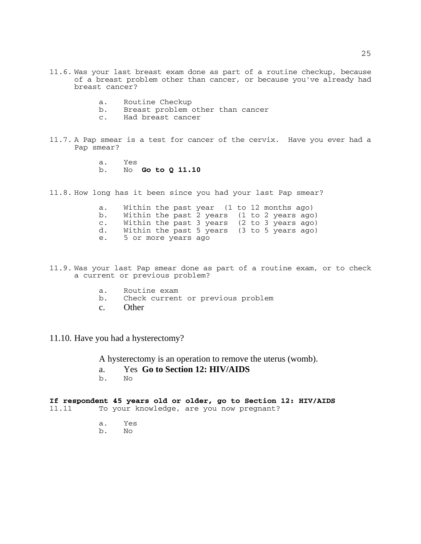- 11.6. Was your last breast exam done as part of a routine checkup, because of a breast problem other than cancer, or because you've already had breast cancer?
	- a. Routine Checkup<br>b. Breast problem
	- Breast problem other than cancer
	- c. Had breast cancer
- 11.7. A Pap smear is a test for cancer of the cervix. Have you ever had a Pap smear?
	- a. Yes b. No **Go to Q 11.10**

11.8. How long has it been since you had your last Pap smear?

| а.             |                     | Within the past year $(1$ to 12 months ago)  |
|----------------|---------------------|----------------------------------------------|
| b.             |                     | Within the past 2 years (1 to 2 years ago)   |
| $\mathsf{C}$ . |                     | Within the past 3 years (2 to 3 years ago)   |
| d.             |                     | Within the past 5 years $(3$ to 5 years ago) |
| е.             | 5 or more years ago |                                              |

- 11.9. Was your last Pap smear done as part of a routine exam, or to check a current or previous problem?
	- a. Routine exam<br>b. Check current
	- Check current or previous problem
	- c. Other
- 11.10. Have you had a hysterectomy?

A hysterectomy is an operation to remove the uterus (womb).

- a. Yes **Go to Section 12: HIV/AIDS**
- b. No

#### **If respondent 45 years old or older, go to Section 12: HIV/AIDS**  To your knowledge, are you now pregnant?

- a. Yes
- b. No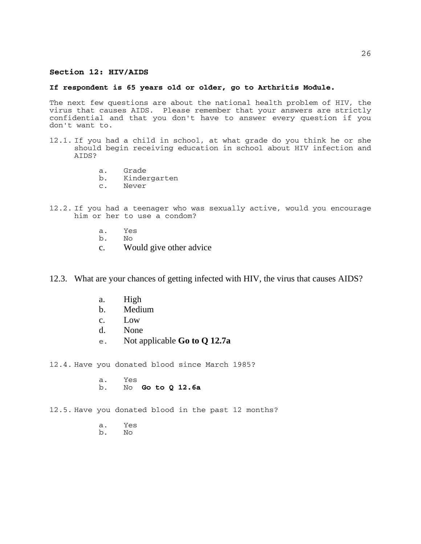## **Section 12: HIV/AIDS**

#### **If respondent is 65 years old or older, go to Arthritis Module.**

The next few questions are about the national health problem of HIV, the virus that causes AIDS. Please remember that your answers are strictly confidential and that you don't have to answer every question if you don't want to.

- 12.1. If you had a child in school, at what grade do you think he or she should begin receiving education in school about HIV infection and AIDS?
	- a. Grade<br>b. Kinde:
	- b. Kindergarten
	- c. Never
- 12.2. If you had a teenager who was sexually active, would you encourage him or her to use a condom?
	- a. Yes
	- b. No
	- c. Would give other advice

12.3. What are your chances of getting infected with HIV, the virus that causes AIDS?

- a. High
- b. Medium
- c. Low
- d. None
- e. Not applicable **Go to Q 12.7a**

12.4. Have you donated blood since March 1985?

a. Yes b. No **Go to Q 12.6a**

12.5. Have you donated blood in the past 12 months?

- a. Yes
- $N<sub>O</sub>$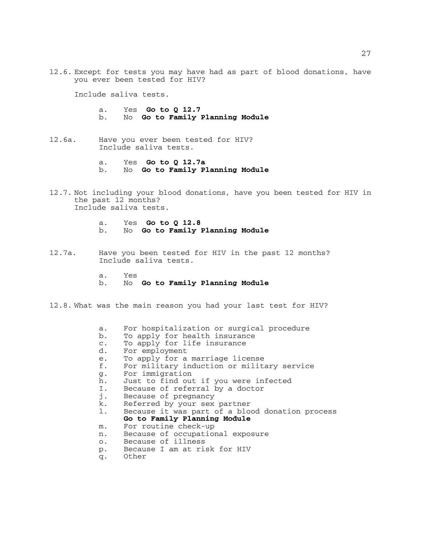12.6. Except for tests you may have had as part of blood donations, have you ever been tested for HIV?

Include saliva tests.

- a. Yes **Go to Q 12.7** b. No **Go to Family Planning Module**
- 12.6a. Have you ever been tested for HIV? Include saliva tests.
	- a. Yes **Go to Q 12.7a** b. No **Go to Family Planning Module**
- 12.7. Not including your blood donations, have you been tested for HIV in the past 12 months? Include saliva tests.
	- a. Yes **Go to Q 12.8** b. No **Go to Family Planning Module**
- 12.7a. Have you been tested for HIV in the past 12 months? Include saliva tests.
	- a. Yes b. No **Go to Family Planning Module**
- 12.8. What was the main reason you had your last test for HIV?
	- a. For hospitalization or surgical procedure<br>b. To apply for health insurance
	- b. To apply for health insurance<br>c. To apply for life insurance
	- To apply for life insurance
	- d. For employment
	- e. To apply for a marriage license<br>f. For military induction or milit
	- f. For military induction or military service
	- g. For immigration
	- h. Just to find out if you were infected
	- I. Because of referral by a doctor
	- j. Because of pregnancy
	- k. Referred by your sex partner
	- l. Because it was part of a blood donation process **Go to Family Planning Module**
	- m. For routine check-up
	- n. Because of occupational exposure
	- o. Because of illness
	- p. Because I am at risk for HIV
	- q. Other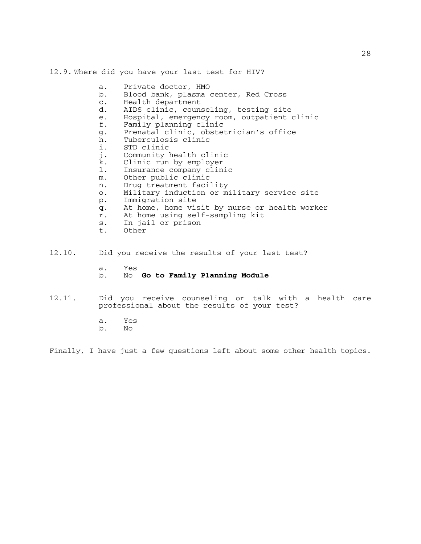12.9. Where did you have your last test for HIV?

- a. Private doctor, HMO
- b. Blood bank, plasma center, Red Cross
- c. Health department<br>d. AIDS clinic, couns
- AIDS clinic, counseling, testing site
- e. Hospital, emergency room, outpatient clinic<br>f. Family planning clinic
- Family planning clinic
- g. Prenatal clinic, obstetrician's office
- h. Tuberculosis clinic
- 
- i. STD clinic<br>j. Community 1 Community health clinic
- k. Clinic run by employer
- 1. Insurance company clinic<br>m. Other public clinic
- Other public clinic
- n. Drug treatment facility
- o. Military induction or military service site
- p. Immigration site
- q. At home, home visit by nurse or health worker
- r. At home using self-sampling kit
- s. In jail or prison<br>t. Other
- Other
- 12.10. Did you receive the results of your last test?
	- a. Yes b. No **Go to Family Planning Module**
- 12.11. Did you receive counseling or talk with a health care professional about the results of your test?
	- a. Yes
	- b. No

Finally, I have just a few questions left about some other health topics.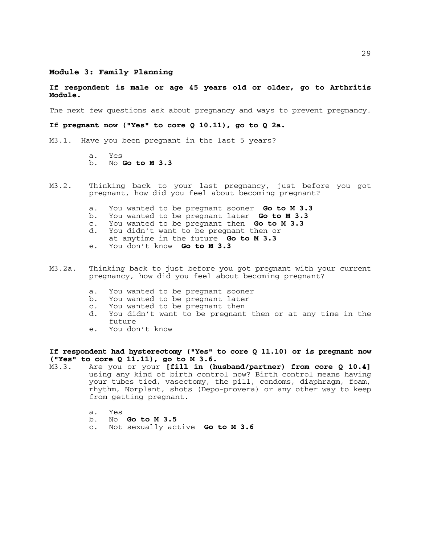## **Module 3: Family Planning**

#### **If respondent is male or age 45 years old or older, go to Arthritis Module.**

The next few questions ask about pregnancy and ways to prevent pregnancy.

**If pregnant now ("Yes" to core Q 10.11), go to Q 2a.**

M3.1. Have you been pregnant in the last 5 years?

a. Yes b. No **Go to M 3.3**

- M3.2. Thinking back to your last pregnancy, just before you got pregnant, how did you feel about becoming pregnant?
	- a. You wanted to be pregnant sooner **Go to M 3.3**
	- b. You wanted to be pregnant later **Go to M 3.3**
	- c. You wanted to be pregnant then **Go to M 3.3** d. You didn't want to be pregnant then or
	-
	- at anytime in the future **Go to M 3.3**
	- e. You don't know **Go to M 3.3**
- M3.2a. Thinking back to just before you got pregnant with your current pregnancy, how did you feel about becoming pregnant?
	- a. You wanted to be pregnant sooner
	- b. You wanted to be pregnant later
	- c. You wanted to be pregnant then
	- d. You didn't want to be pregnant then or at any time in the future
	- e. You don't know

**If respondent had hysterectomy ("Yes" to core Q 11.10) or is pregnant now ("Yes" to core Q 11.11), go to M 3.6.**

- Are you or your **[fill in (husband/partner) from core Q 10.4]** using any kind of birth control now? Birth control means having your tubes tied, vasectomy, the pill, condoms, diaphragm, foam, rhythm, Norplant, shots (Depo-provera) or any other way to keep from getting pregnant.
	-
	- a. Yes<br>b. No **Go to M 3.5**
	- c. Not sexually active **Go to M 3.6**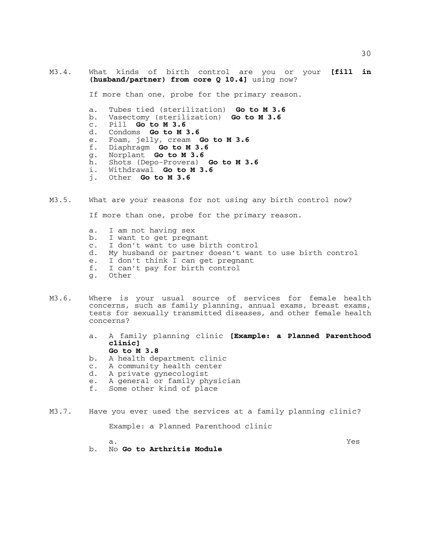M3.4. What kinds of birth control are you or your **[fill in (husband/partner) from core Q 10.4]** using now?

If more than one, probe for the primary reason.

- a. Tubes tied (sterilization) **Go to M 3.6** b. Vasectomy (sterilization) **Go to M 3.6** c. Pill **Go to M 3.6**
- 
- 
- Condoms **Go to M 3.6**
- e. Foam, jelly, cream **Go to M 3.6**
- f. Diaphragm **Go to M 3.6**
- 
- h. Shots (Depo-Provera) **Go to M 3.6** i. Withdrawal **Go to M 3.6**
- i. Withdrawal **Go to M 3.6** j. Other **Go to M 3.6**
- 
- M3.5. What are your reasons for not using any birth control now?

If more than one, probe for the primary reason.

- a. I am not having sex
- b. I want to get pregnant
- c. I don't want to use birth control<br>d. My husband or partner doesn't wan
- My husband or partner doesn't want to use birth control
- e. I don't think I can get pregnant<br>f. I can't pay for birth control
- I can't pay for birth control
- g. Other
- M3.6. Where is your usual source of services for female health concerns, such as family planning, annual exams, breast exams, tests for sexually transmitted diseases, and other female health concerns?
	- a. A family planning clinic **[Example: a Planned Parenthood clinic]** 
		- **Go to M 3.8**
	- b. A health department clinic<br>c. A community health center
	- A community health center
	- d. A private gynecologist
	- e. A general or family physician
	- f. Some other kind of place
- M3.7. Have you ever used the services at a family planning clinic? Example: a Planned Parenthood clinic
- a. Yes b. No **Go to Arthritis Module**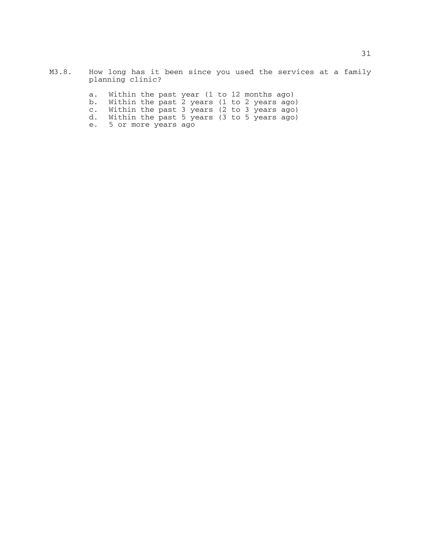- M3.8. How long has it been since you used the services at a family planning clinic?
	- a. Within the past year (1 to 12 months ago)
	- b. Within the past 2 years (1 to 2 years ago)
	- c. Within the past 3 years (2 to 3 years ago)
	- d. Within the past 5 years (3 to 5 years ago)
	- e. 5 or more years ago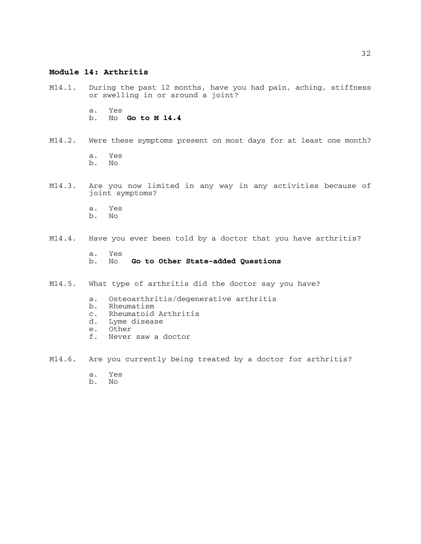## **Module 14: Arthritis**

M14.1. During the past 12 months, have you had pain, aching, stiffness or swelling in or around a joint?

> a. Yes b. No **Go to M 14.4**

M14.2. Were these symptoms present on most days for at least one month? a. Yes

b. No

- M14.3. Are you now limited in any way in any activities because of joint symptoms?
	- a. Yes b. No

## M14.4. Have you ever been told by a doctor that you have arthritis?

- a. Yes b. No **Go to Other State-added Questions**
- M14.5. What type of arthritis did the doctor say you have?
	- a. Osteoarthritis/degenerative arthritis
	- b. Rheumatism
	- c. Rheumatoid Arthritis
	- d. Lyme disease
	- e. Other
	- f. Never saw a doctor
- M14.6. Are you currently being treated by a doctor for arthritis?
	- a. Yes
	- b. No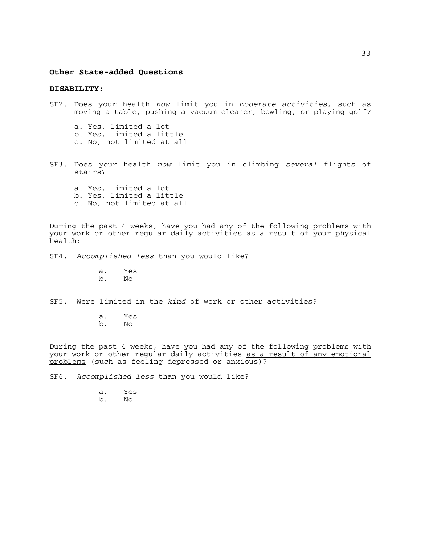#### **Other State-added Questions**

#### **DISABILITY:**

- SF2. Does your health *now* limit you in *moderate activities*, such as moving a table, pushing a vacuum cleaner, bowling, or playing golf?
	- a. Yes, limited a lot b. Yes, limited a little c. No, not limited at all
- SF3. Does your health *now* limit you in climbing *several* flights of stairs?
	- a. Yes, limited a lot b. Yes, limited a little c. No, not limited at all

During the past 4 weeks, have you had any of the following problems with your work or other regular daily activities as a result of your physical health:

- SF4. *Accomplished less* than you would like?
	- a. Yes
	- b. No
- SF5. Were limited in the *kind* of work or other activities?
	- a. Yes b. No

During the past 4 weeks, have you had any of the following problems with your work or other regular daily activities as a result of any emotional problems (such as feeling depressed or anxious)?

SF6. *Accomplished less* than you would like?

a. Yes

33

b. No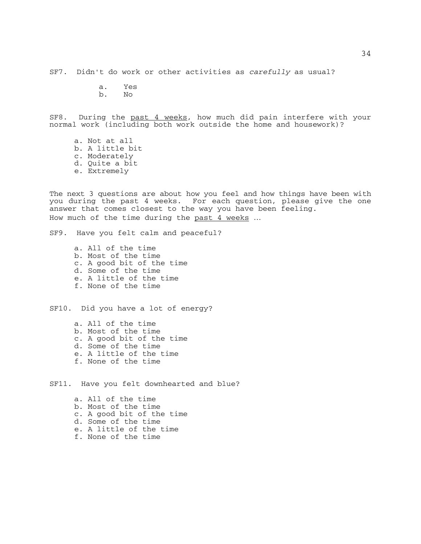SF7. Didn't do work or other activities as *carefully* as usual?

a. Yes

b. No

SF8. During the past 4 weeks, how much did pain interfere with your normal work (including both work outside the home and housework)?

a. Not at all b. A little bit c. Moderately d. Quite a bit e. Extremely

The next 3 questions are about how you feel and how things have been with you during the past 4 weeks. For each question, please give the one answer that comes closest to the way you have been feeling. How much of the time during the past 4 weeks ...

SF9. Have you felt calm and peaceful?

a. All of the time b. Most of the time c. A good bit of the time d. Some of the time e. A little of the time f. None of the time

SF10. Did you have a lot of energy?

a. All of the time b. Most of the time c. A good bit of the time d. Some of the time e. A little of the time f. None of the time

SF11. Have you felt downhearted and blue?

- a. All of the time b. Most of the time c. A good bit of the time d. Some of the time e. A little of the time
- f. None of the time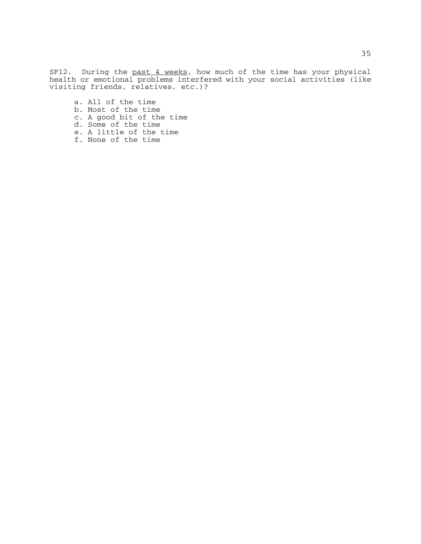SF12. During the past 4 weeks, how much of the time has your physical health or emotional problems interfered with your social activities (like visiting friends, relatives, etc.)?

- a. All of the time
- b. Most of the time
- c. A good bit of the time
- d. Some of the time
- e. A little of the time
- f. None of the time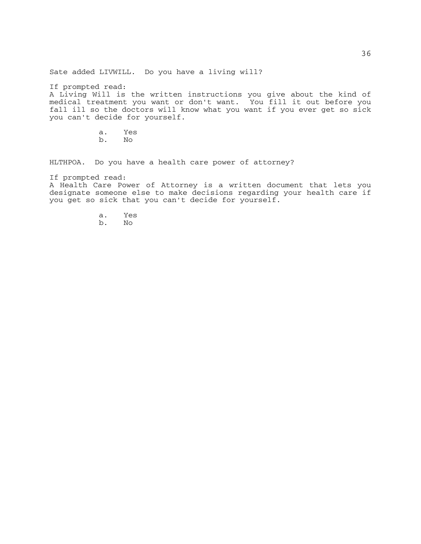Sate added LIVWILL. Do you have a living will?

If prompted read:

A Living Will is the written instructions you give about the kind of medical treatment you want or don't want. You fill it out before you fall ill so the doctors will know what you want if you ever get so sick you can't decide for yourself.

> a. Yes b. No

HLTHPOA. Do you have a health care power of attorney?

If prompted read:

A Health Care Power of Attorney is a written document that lets you designate someone else to make decisions regarding your health care if you get so sick that you can't decide for yourself.

- a. Yes
- b. No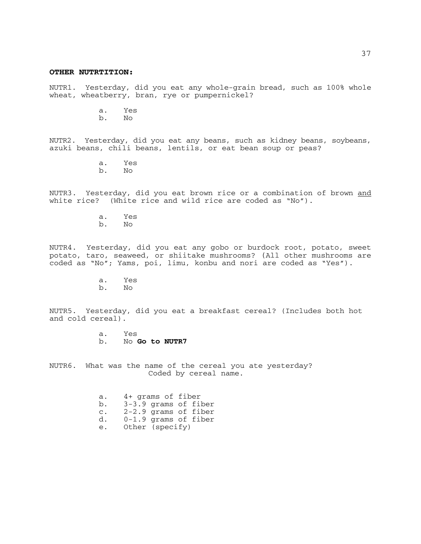#### **OTHER NUTRTITION:**

NUTR1. Yesterday, did you eat any whole-grain bread, such as 100% whole wheat, wheatberry, bran, rye or pumpernickel?

a. Yes

b. No

NUTR2. Yesterday, did you eat any beans, such as kidney beans, soybeans, azuki beans, chili beans, lentils, or eat bean soup or peas?

> a. Yes b. No

NUTR3. Yesterday, did you eat brown rice or a combination of brown and white rice? (White rice and wild rice are coded as "No").

> a. Yes b. No

NUTR4. Yesterday, did you eat any gobo or burdock root, potato, sweet potato, taro, seaweed, or shiitake mushrooms? (All other mushrooms are coded as "No"; Yams, poi, limu, konbu and nori are coded as "Yes").

> a. Yes  $b$ .

NUTR5. Yesterday, did you eat a breakfast cereal? (Includes both hot and cold cereal).

> a. Yes<br>b. No b. No **Go to NUTR7**

NUTR6. What was the name of the cereal you ate yesterday? Coded by cereal name.

| a.             | 4+ grams of fiber      |  |  |
|----------------|------------------------|--|--|
| b.             | $3-3.9$ grams of fiber |  |  |
| $\mathsf{C}$ . | $2-2.9$ grams of fiber |  |  |
| d.             | $0-1.9$ grams of fiber |  |  |
| $\sim$         | $0+h_0r$ $(m_0a; f_1)$ |  |  |

e. Other (specify)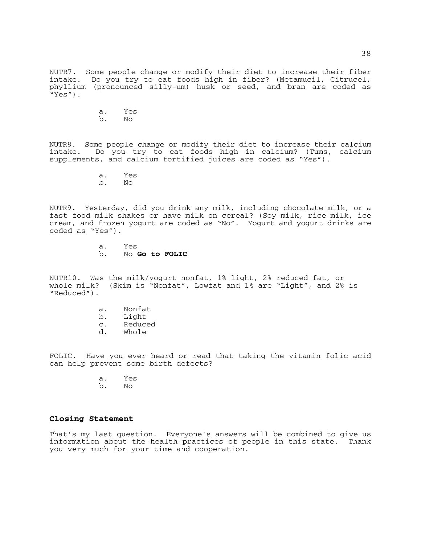NUTR7. Some people change or modify their diet to increase their fiber intake. Do you try to eat foods high in fiber? (Metamucil, Citrucel, phyllium (pronounced silly-um) husk or seed, and bran are coded as "Yes").

> a. Yes b. No

NUTR8. Some people change or modify their diet to increase their calcium intake. Do you try to eat foods high in calcium? (Tums, calcium supplements, and calcium fortified juices are coded as "Yes").

a. Yes

b. No

NUTR9. Yesterday, did you drink any milk, including chocolate milk, or a fast food milk shakes or have milk on cereal? (Soy milk, rice milk, ice cream, and frozen yogurt are coded as "No". Yogurt and yogurt drinks are coded as "Yes").

> a. Yes b. No **Go to FOLIC**

NUTR10. Was the milk/yogurt nonfat, 1% light, 2% reduced fat, or whole milk? (Skim is "Nonfat", Lowfat and 1% are "Light", and 2% is "Reduced").

- a. Nonfat
- b. Light
- c. Reduced
- d. Whole

FOLIC. Have you ever heard or read that taking the vitamin folic acid can help prevent some birth defects?

- a. Yes
- b. No

## **Closing Statement**

That's my last question. Everyone's answers will be combined to give us information about the health practices of people in this state. Thank you very much for your time and cooperation.